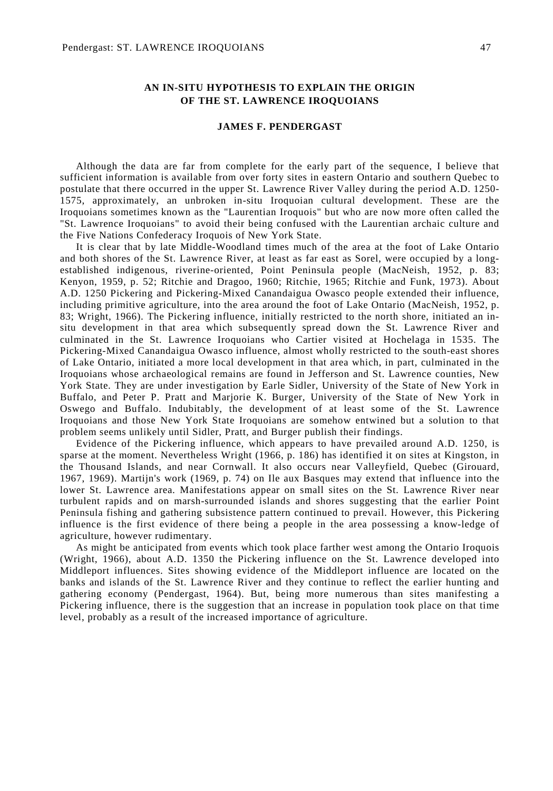## **AN IN-SITU HYPOTHESIS TO EXPLAIN THE ORIGIN OF THE ST. LAWRENCE IROQUOIANS**

## **JAMES F. PENDERGAST**

Although the data are far from complete for the early part of the sequence, I believe that sufficient information is available from over forty sites in eastern Ontario and southern Quebec to postulate that there occurred in the upper St. Lawrence River Valley during the period A.D. 1250- 1575, approximately, an unbroken in-situ Iroquoian cultural development. These are the Iroquoians sometimes known as the "Laurentian Iroquois" but who are now more often called the "St. Lawrence Iroquoians" to avoid their being confused with the Laurentian archaic culture and the Five Nations Confederacy Iroquois of New York State.

It is clear that by late Middle-Woodland times much of the area at the foot of Lake Ontario and both shores of the St. Lawrence River, at least as far east as Sorel, were occupied by a longestablished indigenous, riverine-oriented, Point Peninsula people (MacNeish, 1952, p. 83; Kenyon, 1959, p. 52; Ritchie and Dragoo, 1960; Ritchie, 1965; Ritchie and Funk, 1973). About A.D. 1250 Pickering and Pickering-Mixed Canandaigua Owasco people extended their influence, including primitive agriculture, into the area around the foot of Lake Ontario (MacNeish, 1952, p. 83; Wright, 1966). The Pickering influence, initially restricted to the north shore, initiated an insitu development in that area which subsequently spread down the St. Lawrence River and culminated in the St. Lawrence Iroquoians who Cartier visited at Hochelaga in 1535. The Pickering-Mixed Canandaigua Owasco influence, almost wholly restricted to the south-east shores of Lake Ontario, initiated a more local development in that area which, in part, culminated in the Iroquoians whose archaeological remains are found in Jefferson and St. Lawrence counties, New York State. They are under investigation by Earle Sidler, University of the State of New York in Buffalo, and Peter P. Pratt and Marjorie K. Burger, University of the State of New York in Oswego and Buffalo. Indubitably, the development of at least some of the St. Lawrence Iroquoians and those New York State Iroquoians are somehow entwined but a solution to that problem seems unlikely until Sidler, Pratt, and Burger publish their findings.

Evidence of the Pickering influence, which appears to have prevailed around A.D. 1250, is sparse at the moment. Nevertheless Wright (1966, p. 186) has identified it on sites at Kingston, in the Thousand Islands, and near Cornwall. It also occurs near Valleyfield, Quebec (Girouard, 1967, 1969). Martijn's work (1969, p. 74) on Ile aux Basques may extend that influence into the lower St. Lawrence area. Manifestations appear on small sites on the St. Lawrence River near turbulent rapids and on marsh-surrounded islands and shores suggesting that the earlier Point Peninsula fishing and gathering subsistence pattern continued to prevail. However, this Pickering influence is the first evidence of there being a people in the area possessing a know-ledge of agriculture, however rudimentary.

As might be anticipated from events which took place farther west among the Ontario Iroquois (Wright, 1966), about A.D. 1350 the Pickering influence on the St. Lawrence developed into Middleport influences. Sites showing evidence of the Middleport influence are located on the banks and islands of the St. Lawrence River and they continue to reflect the earlier hunting and gathering economy (Pendergast, 1964). But, being more numerous than sites manifesting a Pickering influence, there is the suggestion that an increase in population took place on that time level, probably as a result of the increased importance of agriculture.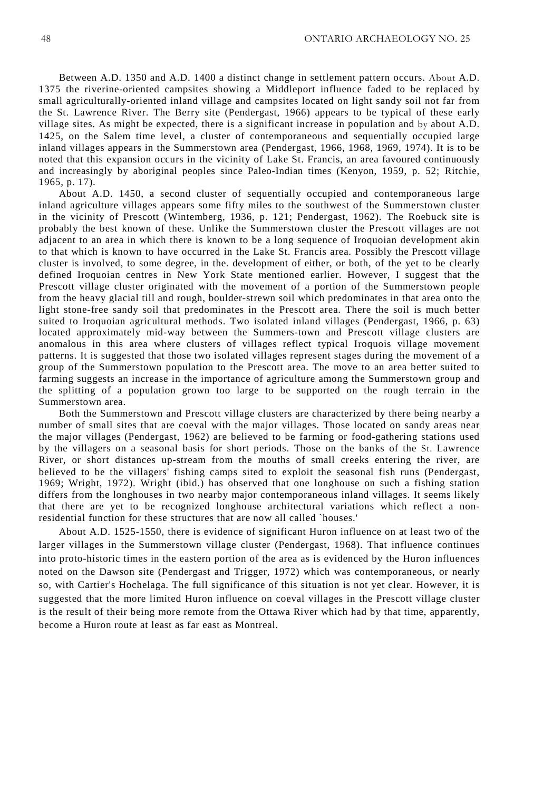Between A.D. 1350 and A.D. 1400 a distinct change in settlement pattern occurs. About A.D. 1375 the riverine-oriented campsites showing a Middleport influence faded to be replaced by small agriculturally-oriented inland village and campsites located on light sandy soil not far from the St. Lawrence River. The Berry site (Pendergast, 1966) appears to be typical of these early village sites. As might be expected, there is a significant increase in population and by about A.D. 1425, on the Salem time level, a cluster of contemporaneous and sequentially occupied large inland villages appears in the Summerstown area (Pendergast, 1966, 1968, 1969, 1974). It is to be noted that this expansion occurs in the vicinity of Lake St. Francis, an area favoured continuously and increasingly by aboriginal peoples since Paleo-Indian times (Kenyon, 1959, p. 52; Ritchie, 1965, p. 17).

About A.D. 1450, a second cluster of sequentially occupied and contemporaneous large inland agriculture villages appears some fifty miles to the southwest of the Summerstown cluster in the vicinity of Prescott (Wintemberg, 1936, p. 121; Pendergast, 1962). The Roebuck site is probably the best known of these. Unlike the Summerstown cluster the Prescott villages are not adjacent to an area in which there is known to be a long sequence of Iroquoian development akin to that which is known to have occurred in the Lake St. Francis area. Possibly the Prescott village cluster is involved, to some degree, in the. development of either, or both, of the yet to be clearly defined Iroquoian centres in New York State mentioned earlier. However, I suggest that the Prescott village cluster originated with the movement of a portion of the Summerstown people from the heavy glacial till and rough, boulder-strewn soil which predominates in that area onto the light stone-free sandy soil that predominates in the Prescott area. There the soil is much better suited to Iroquoian agricultural methods. Two isolated inland villages (Pendergast, 1966, p. 63) located approximately mid-way between the Summers-town and Prescott village clusters are anomalous in this area where clusters of villages reflect typical Iroquois village movement patterns. It is suggested that those two isolated villages represent stages during the movement of a group of the Summerstown population to the Prescott area. The move to an area better suited to farming suggests an increase in the importance of agriculture among the Summerstown group and the splitting of a population grown too large to be supported on the rough terrain in the Summerstown area.

Both the Summerstown and Prescott village clusters are characterized by there being nearby a number of small sites that are coeval with the major villages. Those located on sandy areas near the major villages (Pendergast, 1962) are believed to be farming or food-gathering stations used by the villagers on a seasonal basis for short periods. Those on the banks of the St. Lawrence River, or short distances up-stream from the mouths of small creeks entering the river, are believed to be the villagers' fishing camps sited to exploit the seasonal fish runs (Pendergast, 1969; Wright, 1972). Wright (ibid.) has observed that one longhouse on such a fishing station differs from the longhouses in two nearby major contemporaneous inland villages. It seems likely that there are yet to be recognized longhouse architectural variations which reflect a nonresidential function for these structures that are now all called `houses.'

About A.D. 1525-1550, there is evidence of significant Huron influence on at least two of the larger villages in the Summerstown village cluster (Pendergast, 1968). That influence continues into proto-historic times in the eastern portion of the area as is evidenced by the Huron influences noted on the Dawson site (Pendergast and Trigger, 1972) which was contemporaneous, or nearly so, with Cartier's Hochelaga. The full significance of this situation is not yet clear. However, it is suggested that the more limited Huron influence on coeval villages in the Prescott village cluster is the result of their being more remote from the Ottawa River which had by that time, apparently, become a Huron route at least as far east as Montreal.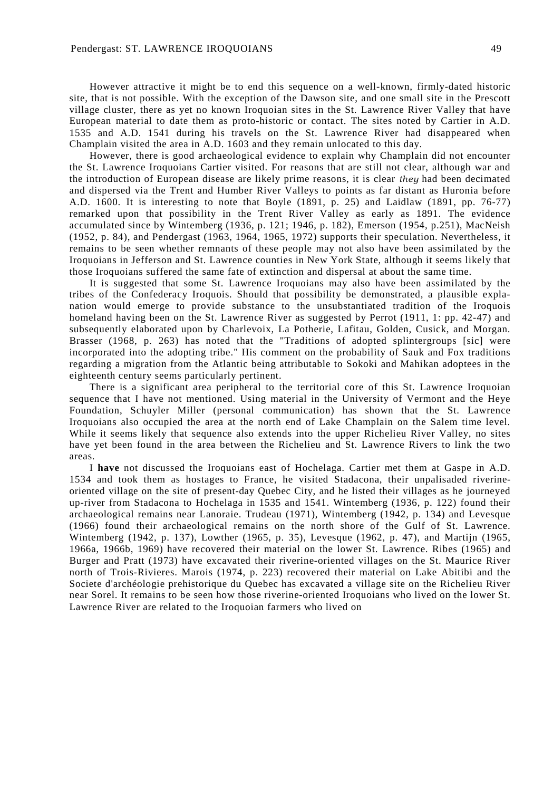However attractive it might be to end this sequence on a well-known, firmly-dated historic site, that is not possible. With the exception of the Dawson site, and one small site in the Prescott village cluster, there as yet no known Iroquoian sites in the St. Lawrence River Valley that have European material to date them as proto-historic or contact. The sites noted by Cartier in A.D. 1535 and A.D. 1541 during his travels on the St. Lawrence River had disappeared when Champlain visited the area in A.D. 1603 and they remain unlocated to this day.

However, there is good archaeological evidence to explain why Champlain did not encounter the St. Lawrence Iroquoians Cartier visited. For reasons that are still not clear, although war and the introduction of European disease are likely prime reasons, it is clear *they* had been decimated and dispersed via the Trent and Humber River Valleys to points as far distant as Huronia before A.D. 1600. It is interesting to note that Boyle (1891, p. 25) and Laidlaw (1891, pp. 76-77) remarked upon that possibility in the Trent River Valley as early as 1891. The evidence accumulated since by Wintemberg (1936, p. 121; 1946, p. 182), Emerson (1954, p.251), MacNeish (1952, p. 84), and Pendergast (1963, 1964, 1965, 1972) supports their speculation. Nevertheless, it remains to be seen whether remnants of these people may not also have been assimilated by the Iroquoians in Jefferson and St. Lawrence counties in New York State, although it seems likely that those Iroquoians suffered the same fate of extinction and dispersal at about the same time.

It is suggested that some St. Lawrence Iroquoians may also have been assimilated by the tribes of the Confederacy Iroquois. Should that possibility be demonstrated, a plausible explanation would emerge to provide substance to the unsubstantiated tradition of the Iroquois homeland having been on the St. Lawrence River as suggested by Perrot (1911, 1: pp. 42-47) and subsequently elaborated upon by Charlevoix, La Potherie, Lafitau, Golden, Cusick, and Morgan. Brasser (1968, p. 263) has noted that the "Traditions of adopted splintergroups [sic] were incorporated into the adopting tribe." His comment on the probability of Sauk and Fox traditions regarding a migration from the Atlantic being attributable to Sokoki and Mahikan adoptees in the eighteenth century seems particularly pertinent.

There is a significant area peripheral to the territorial core of this St. Lawrence Iroquoian sequence that I have not mentioned. Using material in the University of Vermont and the Heye Foundation, Schuyler Miller (personal communication) has shown that the St. Lawrence Iroquoians also occupied the area at the north end of Lake Champlain on the Salem time level. While it seems likely that sequence also extends into the upper Richelieu River Valley, no sites have yet been found in the area between the Richelieu and St. Lawrence Rivers to link the two areas.

I **have** not discussed the Iroquoians east of Hochelaga. Cartier met them at Gaspe in A.D. 1534 and took them as hostages to France, he visited Stadacona, their unpalisaded riverineoriented village on the site of present-day Quebec City, and he listed their villages as he journeyed up-river from Stadacona to Hochelaga in 1535 and 1541. Wintemberg (1936, p. 122) found their archaeological remains near Lanoraie. Trudeau (1971), Wintemberg (1942, p. 134) and Levesque (1966) found their archaeological remains on the north shore of the Gulf of St. Lawrence. Wintemberg (1942, p. 137), Lowther (1965, p. 35), Levesque (1962, p. 47), and Martijn (1965, 1966a, 1966b, 1969) have recovered their material on the lower St. Lawrence. Ribes (1965) and Burger and Pratt (1973) have excavated their riverine-oriented villages on the St. Maurice River north of Trois-Rivieres. Marois (1974, p. 223) recovered their material on Lake Abitibi and the Societe d'archéologie prehistorique du Quebec has excavated a village site on the Richelieu River near Sorel. It remains to be seen how those riverine-oriented Iroquoians who lived on the lower St. Lawrence River are related to the Iroquoian farmers who lived on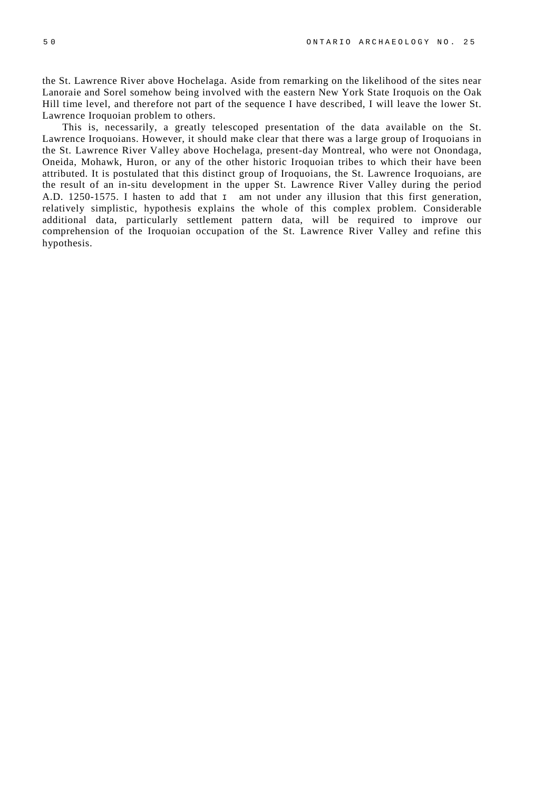the St. Lawrence River above Hochelaga. Aside from remarking on the likelihood of the sites near Lanoraie and Sorel somehow being involved with the eastern New York State Iroquois on the Oak Hill time level, and therefore not part of the sequence I have described, I will leave the lower St. Lawrence Iroquoian problem to others.

This is, necessarily, a greatly telescoped presentation of the data available on the St. Lawrence Iroquoians. However, it should make clear that there was a large group of Iroquoians in the St. Lawrence River Valley above Hochelaga, present-day Montreal, who were not Onondaga, Oneida, Mohawk, Huron, or any of the other historic Iroquoian tribes to which their have been attributed. It is postulated that this distinct group of Iroquoians, the St. Lawrence Iroquoians, are the result of an in-situ development in the upper St. Lawrence River Valley during the period A.D. 1250-1575. I hasten to add that  $\tau$  am not under any illusion that this first generation, relatively simplistic, hypothesis explains the whole of this complex problem. Considerable additional data, particularly settlement pattern data, will be required to improve our comprehension of the Iroquoian occupation of the St. Lawrence River Valley and refine this hypothesis.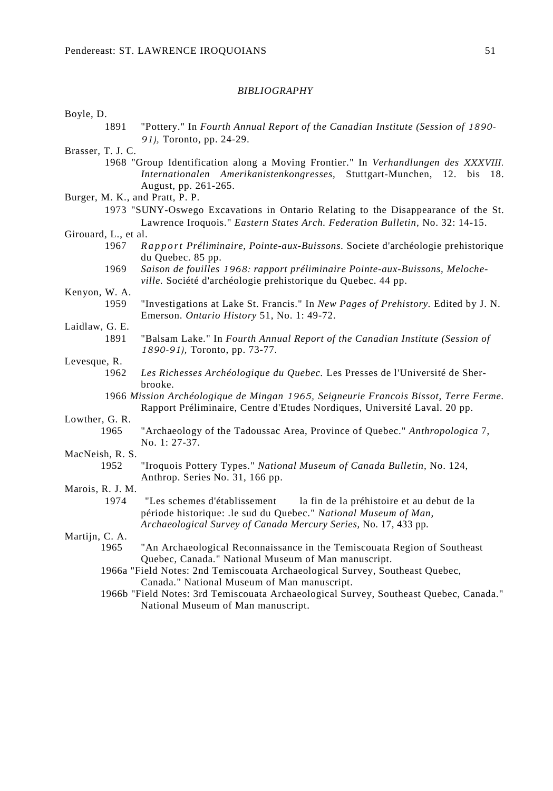## *BIBLIOGRAPHY*

| Boyle, D.            |                                                                                                                                                                                          |
|----------------------|------------------------------------------------------------------------------------------------------------------------------------------------------------------------------------------|
| 1891                 | "Pottery." In Fourth Annual Report of the Canadian Institute (Session of 1890-                                                                                                           |
|                      | 91), Toronto, pp. 24-29.                                                                                                                                                                 |
| Brasser, T. J. C.    |                                                                                                                                                                                          |
|                      | 1968 "Group Identification along a Moving Frontier." In Verhandlungen des XXXVIII.<br>Internationalen Amerikanistenkongresses, Stuttgart-Munchen, 12. bis<br>18.<br>August, pp. 261-265. |
|                      | Burger, M. K., and Pratt, P. P.                                                                                                                                                          |
|                      | 1973 "SUNY-Oswego Excavations in Ontario Relating to the Disappearance of the St.                                                                                                        |
| Girouard, L., et al. | Lawrence Iroquois." Eastern States Arch. Federation Bulletin, No. 32: 14-15.                                                                                                             |
| 1967                 |                                                                                                                                                                                          |
|                      | Rapport Préliminaire, Pointe-aux-Buissons. Societe d'archéologie prehistorique<br>du Quebec. 85 pp.                                                                                      |
| 1969                 | Saison de fouilles 1968: rapport préliminaire Pointe-aux-Buissons, Meloche-<br>ville. Société d'archéologie prehistorique du Quebec. 44 pp.                                              |
| Kenyon, W. A.        |                                                                                                                                                                                          |
| 1959                 | "Investigations at Lake St. Francis." In New Pages of Prehistory. Edited by J. N.<br>Emerson. Ontario History 51, No. 1: 49-72.                                                          |
| Laidlaw, G. E.       |                                                                                                                                                                                          |
| 1891                 | "Balsam Lake." In Fourth Annual Report of the Canadian Institute (Session of<br>1890-91), Toronto, pp. 73-77.                                                                            |
| Levesque, R.         |                                                                                                                                                                                          |
| 1962                 | Les Richesses Archéologique du Quebec. Les Presses de l'Université de Sher-<br>brooke.                                                                                                   |
|                      | 1966 Mission Archéologique de Mingan 1965, Seigneurie Francois Bissot, Terre Ferme.                                                                                                      |
|                      | Rapport Préliminaire, Centre d'Etudes Nordiques, Université Laval. 20 pp.                                                                                                                |
| Lowther, G. R.       |                                                                                                                                                                                          |
| 1965                 | "Archaeology of the Tadoussac Area, Province of Quebec." Anthropologica 7,<br>No. 1: 27-37.                                                                                              |
| MacNeish, R. S.      |                                                                                                                                                                                          |
| 1952                 | "Iroquois Pottery Types." National Museum of Canada Bulletin, No. 124,<br>Anthrop. Series No. 31, 166 pp.                                                                                |
| Marois, R. J. M.     |                                                                                                                                                                                          |
| 1974                 | "Les schemes d'établissement<br>la fin de la préhistoire et au debut de la<br>période historique: .le sud du Quebec." National Museum of Man,                                            |
|                      | Archaeological Survey of Canada Mercury Series, No. 17, 433 pp.                                                                                                                          |
| Martijn, C. A.       |                                                                                                                                                                                          |
| 1965                 | "An Archaeological Reconnaissance in the Temiscouata Region of Southeast<br>Quebec, Canada." National Museum of Man manuscript.                                                          |
|                      | 1966a "Field Notes: 2nd Temiscouata Archaeological Survey, Southeast Quebec,                                                                                                             |
|                      | Canada." National Museum of Man manuscript.                                                                                                                                              |
|                      | 1966b "Field Notes: 3rd Temiscouata Archaeological Survey, Southeast Quebec, Canada."<br>National Museum of Man manuscript.                                                              |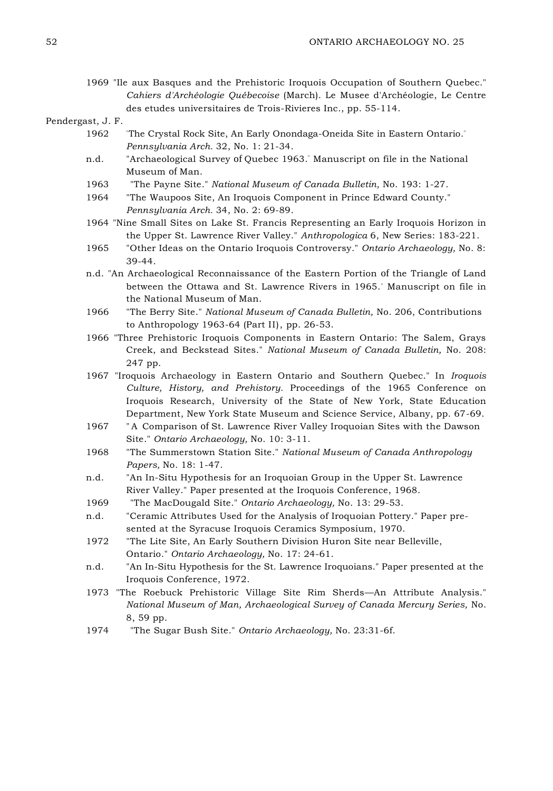1969 "Ile aux Basques and the Prehistoric Iroquois Occupation of Southern Quebec." *Cahiers d'Archéologie Québecoise* (March). Le Musee d'Archéologie, Le Centre des etudes universitaires de Trois-Rivieres Inc., pp. 55-114.

Pendergast, J. F.

- 1962 "The Crystal Rock Site, An Early Onondaga-Oneida Site in Eastern Ontario. " *Pennsylvania Arch.* 32, No. 1: 21-34.
- n.d. "Archaeological Survey of Quebec 1963." Manuscript on file in the National Museum of Man.
- 1963 "The Payne Site." *National Museum of Canada Bulletin,* No. 193: 1-27.
- 1964 "The Waupoos Site, An Iroquois Component in Prince Edward County." *Pennsylvania Arch.* 34, No. 2: 69-89.
- 1964 "Nine Small Sites on Lake St. Francis Representing an Early Iroquois Horizon in the Upper St. Lawrence River Valley." *Anthropologica* 6, New Series: 183-221.
- 1965 "Other Ideas on the Ontario Iroquois Controversy." *Ontario Archaeology,* No. 8: 39-44.
- n.d. "An Archaeological Reconnaissance of the Eastern Portion of the Triangle of Land between the Ottawa and St. Lawrence Rivers in 1965." Manuscript on file in the National Museum of Man.
- 1966 "The Berry Site." *National Museum of Canada Bulletin,* No. 206, Contributions to Anthropology 1963-64 (Part II), pp. 26-53.
- 1966 "Three Prehistoric Iroquois Components in Eastern Ontario: The Salem, Grays Creek, and Beckstead Sites." *National Museum of Canada Bulletin,* No. 208: 247 pp.
- 1967 "Iroquois Archaeology in Eastern Ontario and Southern Quebec." In *Iroquois Culture, History, and Prehistory.* Proceedings of the 1965 Conference on Iroquois Research, University of the State of New York, State Education Department, New York State Museum and Science Service, Albany, pp. 67-69.
- 1967 " A Comparison of St. Lawrence River Valley Iroquoian Sites with the Dawson Site." *Ontario Archaeology,* No. 10: 3-11.
- 1968 "The Summerstown Station Site." *National Museum of Canada Anthropology Papers,* No. 18: 1-47.
- n.d. "An In-Situ Hypothesis for an Iroquoian Group in the Upper St. Lawrence River Valley." Paper presented at the Iroquois Conference, 1968.
- 1969 "The MacDougald Site." *Ontario Archaeology,* No. 13: 29-53.
- n.d. "Ceramic Attributes Used for the Analysis of Iroquoian Pottery." Paper presented at the Syracuse Iroquois Ceramics Symposium, 1970.
- 1972 "The Lite Site, An Early Southern Division Huron Site near Belleville, Ontario." *Ontario Archaeology,* No. 17: 24-61.
- n.d. "An In-Situ Hypothesis for the St. Lawrence Iroquoians." Paper presented at the Iroquois Conference, 1972.
- 1973 "The Roebuck Prehistoric Village Site Rim Sherds—An Attribute Analysis." *National Museum of Man, Archaeological Survey of Canada Mercury Series,* No. 8, 59 pp.
- 1974 "The Sugar Bush Site." *Ontario Archaeology,* No. 23:31-6f.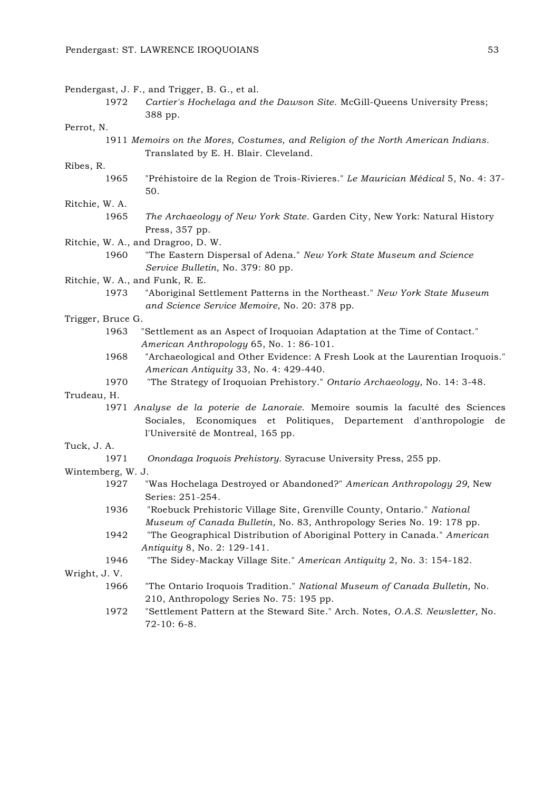|                                                                                | Pendergast, J. F., and Trigger, B. G., et al.                                                                                                     |  |
|--------------------------------------------------------------------------------|---------------------------------------------------------------------------------------------------------------------------------------------------|--|
| 1972                                                                           | Cartier's Hochelaga and the Dawson Site. McGill-Queens University Press;<br>388 pp.                                                               |  |
| Perrot, N.                                                                     |                                                                                                                                                   |  |
|                                                                                | 1911 Memoirs on the Mores, Costumes, and Religion of the North American Indians.<br>Translated by E. H. Blair. Cleveland.                         |  |
| Ribes, R.                                                                      |                                                                                                                                                   |  |
| 1965                                                                           | "Préhistoire de la Region de Trois-Rivieres." Le Maurician Médical 5, No. 4: 37-<br>50.                                                           |  |
| Ritchie, W. A.                                                                 |                                                                                                                                                   |  |
| 1965                                                                           |                                                                                                                                                   |  |
|                                                                                | <i>The Archaeology of New York State.</i> Garden City, New York: Natural History                                                                  |  |
|                                                                                | Press, 357 pp.                                                                                                                                    |  |
| Ritchie, W. A., and Dragroo, D. W.                                             |                                                                                                                                                   |  |
| 1960                                                                           | "The Eastern Dispersal of Adena." New York State Museum and Science<br>Service Bulletin, No. 379: 80 pp.                                          |  |
| Ritchie, W. A., and Funk, R. E.                                                |                                                                                                                                                   |  |
| 1973                                                                           | "Aboriginal Settlement Patterns in the Northeast." New York State Museum<br>and Science Service Memoire, No. 20: 378 pp.                          |  |
| Trigger, Bruce G.                                                              |                                                                                                                                                   |  |
| 1963                                                                           | "Settlement as an Aspect of Iroquoian Adaptation at the Time of Contact."                                                                         |  |
|                                                                                | American Anthropology 65, No. 1: 86-101.                                                                                                          |  |
| 1968                                                                           | "Archaeological and Other Evidence: A Fresh Look at the Laurentian Iroquois."<br>American Antiquity 33, No. 4: 429-440.                           |  |
| 1970                                                                           | "The Strategy of Iroquoian Prehistory." Ontario Archaeology, No. 14: 3-48.                                                                        |  |
| Trudeau, H.                                                                    |                                                                                                                                                   |  |
| 1971 Analyse de la poterie de Lanoraie. Memoire soumis la faculté des Sciences |                                                                                                                                                   |  |
|                                                                                | Sociales,<br>Economiques et Politiques, Departement<br>d'anthropologie<br>de                                                                      |  |
|                                                                                | l'Université de Montreal, 165 pp.                                                                                                                 |  |
| Tuck, J. A.                                                                    |                                                                                                                                                   |  |
| 1971                                                                           | <i>Onondaga Iroquois Prehistory.</i> Syracuse University Press, 255 pp.                                                                           |  |
| Wintemberg, W. J.                                                              |                                                                                                                                                   |  |
| 1927                                                                           | "Was Hochelaga Destroyed or Abandoned?" American Anthropology 29, New<br>Series: 251-254.                                                         |  |
| 1936                                                                           | "Roebuck Prehistoric Village Site, Grenville County, Ontario." National<br>Museum of Canada Bulletin, No. 83, Anthropology Series No. 19: 178 pp. |  |
| 1942                                                                           | "The Geographical Distribution of Aboriginal Pottery in Canada." American                                                                         |  |
|                                                                                | Antiquity 8, No. 2: 129-141.                                                                                                                      |  |
| 1946                                                                           | "The Sidey-Mackay Village Site." <i>American Antiquity</i> 2, No. 3: 154-182.                                                                     |  |
| Wright, J. V.                                                                  |                                                                                                                                                   |  |
| 1966                                                                           | "The Ontario Iroquois Tradition." National Museum of Canada Bulletin, No.<br>210, Anthropology Series No. 75: 195 pp.                             |  |
| 1972                                                                           | "Settlement Pattern at the Steward Site." Arch. Notes, O.A.S. Newsletter, No.<br>$72-10:6-8.$                                                     |  |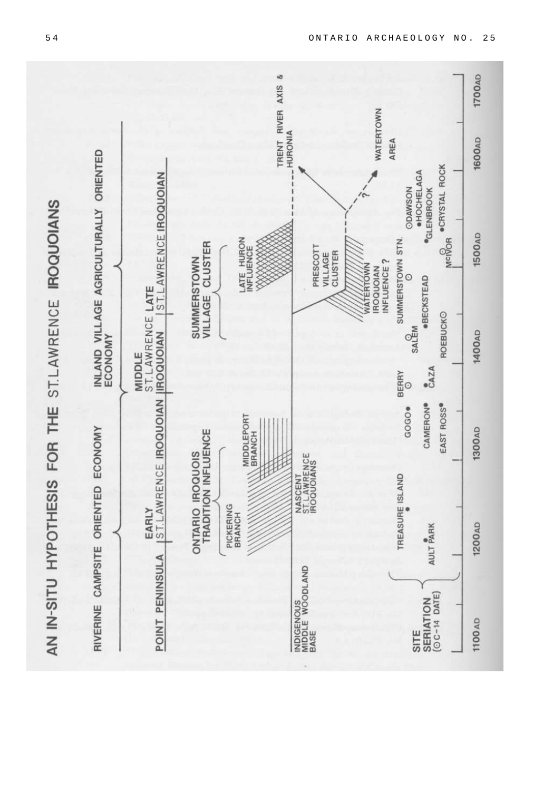